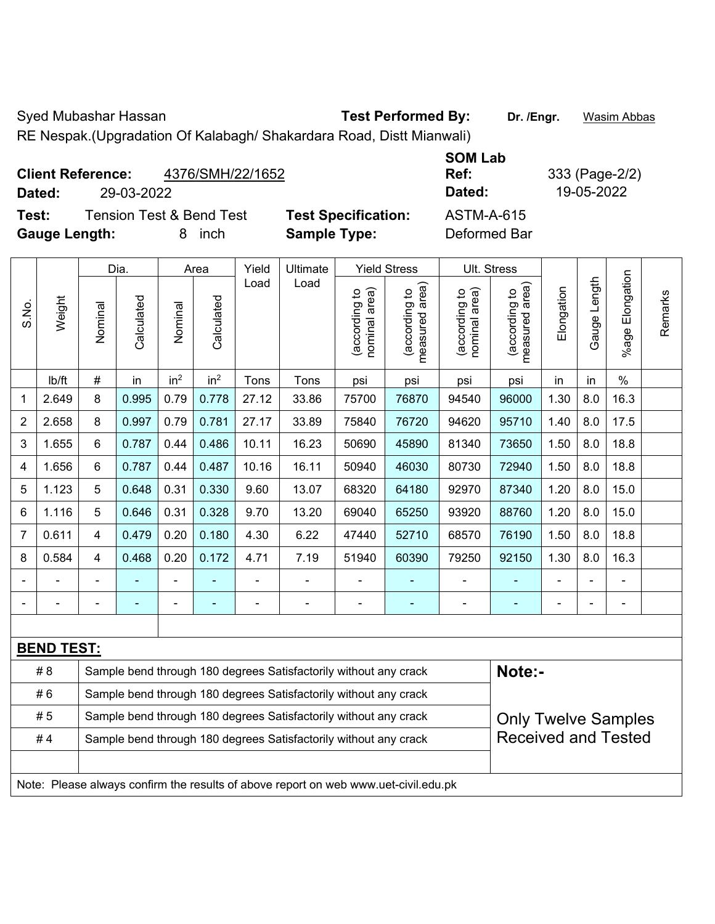Syed Mubashar Hassan **Test Performed By:** Dr. /Engr. **Wasim Abbas** 

RE Nespak.(Upgradation Of Kalabagh/ Shakardara Road, Distt Mianwali)

| 4376/SMH/22/1652<br><b>Client Reference:</b><br>29-03-2022<br>Dated: |                            | <b>SOM Lab</b><br>Ref:<br>Dated: | 333 (Page-2/2)<br>19-05-2022 |
|----------------------------------------------------------------------|----------------------------|----------------------------------|------------------------------|
| <b>Tension Test &amp; Bend Test</b><br>Test:                         | <b>Test Specification:</b> | <b>ASTM-A-615</b>                |                              |
| <b>Gauge Length:</b><br>inch<br>8                                    | <b>Sample Type:</b>        | Deformed Bar                     |                              |

|                |                   |                                                                                                | Dia.       |                 | Area            | Yield                    | Ultimate                                                                            |                                | <b>Yield Stress</b>             |                                | Ult. Stress                       |                |                |                      |         |
|----------------|-------------------|------------------------------------------------------------------------------------------------|------------|-----------------|-----------------|--------------------------|-------------------------------------------------------------------------------------|--------------------------------|---------------------------------|--------------------------------|-----------------------------------|----------------|----------------|----------------------|---------|
| S.No.          | Weight            | Nominal                                                                                        | Calculated | Nominal         | Calculated      | Load                     | Load                                                                                | nominal area)<br>(according to | (according to<br>measured area) | nominal area)<br>(according to | (according to  <br>measured area) | Elongation     | Gauge Length   | Elongation<br>%age I | Remarks |
|                | lb/ft             | #                                                                                              | in         | in <sup>2</sup> | in <sup>2</sup> | Tons                     | Tons                                                                                | psi                            | psi                             | psi                            | psi                               | in             | in             | $\%$                 |         |
| 1              | 2.649             | 8                                                                                              | 0.995      | 0.79            | 0.778           | 27.12                    | 33.86                                                                               | 75700                          | 76870                           | 94540                          | 96000                             | 1.30           | 8.0            | 16.3                 |         |
| 2              | 2.658             | 8                                                                                              | 0.997      | 0.79            | 0.781           | 27.17                    | 33.89                                                                               | 75840                          | 76720                           | 94620                          | 95710                             | 1.40           | 8.0            | 17.5                 |         |
| 3              | 1.655             | $\,6\,$                                                                                        | 0.787      | 0.44            | 0.486           | 10.11                    | 16.23                                                                               | 50690                          | 45890                           | 81340                          | 73650                             | 1.50           | 8.0            | 18.8                 |         |
| 4              | 1.656             | 6                                                                                              | 0.787      | 0.44            | 0.487           | 10.16                    | 16.11                                                                               | 50940                          | 46030                           | 80730                          | 72940                             | 1.50           | 8.0            | 18.8                 |         |
| 5              | 1.123             | 5                                                                                              | 0.648      | 0.31            | 0.330           | 9.60                     | 13.07                                                                               | 68320                          | 64180                           | 92970                          | 87340                             | 1.20           | 8.0            | 15.0                 |         |
| 6              | 1.116             | 5                                                                                              | 0.646      | 0.31            | 0.328           | 9.70                     | 13.20                                                                               | 69040                          | 65250                           | 93920                          | 88760                             | 1.20           | 8.0            | 15.0                 |         |
| $\overline{7}$ | 0.611             | $\overline{\mathbf{4}}$                                                                        | 0.479      | 0.20            | 0.180           | 4.30                     | 6.22                                                                                | 47440                          | 52710                           | 68570                          | 76190                             | 1.50           | 8.0            | 18.8                 |         |
| 8              | 0.584             | $\overline{\mathbf{4}}$                                                                        | 0.468      | 0.20            | 0.172           | 4.71                     | 7.19                                                                                | 51940                          | 60390                           | 79250                          | 92150                             | 1.30           | 8.0            | 16.3                 |         |
|                |                   |                                                                                                |            | ä,              |                 | $\blacksquare$           | ä,                                                                                  | L,                             |                                 | ä,                             | ٠                                 |                |                | ä,                   |         |
|                |                   |                                                                                                |            | ۰               | ۰               | $\overline{\phantom{0}}$ | ÷                                                                                   | $\blacksquare$                 | $\blacksquare$                  | $\overline{a}$                 | ۰                                 | $\blacksquare$ | $\overline{a}$ | $\blacksquare$       |         |
|                |                   |                                                                                                |            |                 |                 |                          |                                                                                     |                                |                                 |                                |                                   |                |                |                      |         |
|                | <b>BEND TEST:</b> |                                                                                                |            |                 |                 |                          |                                                                                     |                                |                                 |                                |                                   |                |                |                      |         |
|                | #8                |                                                                                                |            |                 |                 |                          | Sample bend through 180 degrees Satisfactorily without any crack                    |                                |                                 |                                | Note:-                            |                |                |                      |         |
|                | #6                |                                                                                                |            |                 |                 |                          | Sample bend through 180 degrees Satisfactorily without any crack                    |                                |                                 |                                |                                   |                |                |                      |         |
|                | #5                | Sample bend through 180 degrees Satisfactorily without any crack<br><b>Only Twelve Samples</b> |            |                 |                 |                          |                                                                                     |                                |                                 |                                |                                   |                |                |                      |         |
|                | #4                |                                                                                                |            |                 |                 |                          | Sample bend through 180 degrees Satisfactorily without any crack                    |                                |                                 |                                | <b>Received and Tested</b>        |                |                |                      |         |
|                |                   |                                                                                                |            |                 |                 |                          |                                                                                     |                                |                                 |                                |                                   |                |                |                      |         |
|                |                   |                                                                                                |            |                 |                 |                          | Note: Please always confirm the results of above report on web www.uet-civil.edu.pk |                                |                                 |                                |                                   |                |                |                      |         |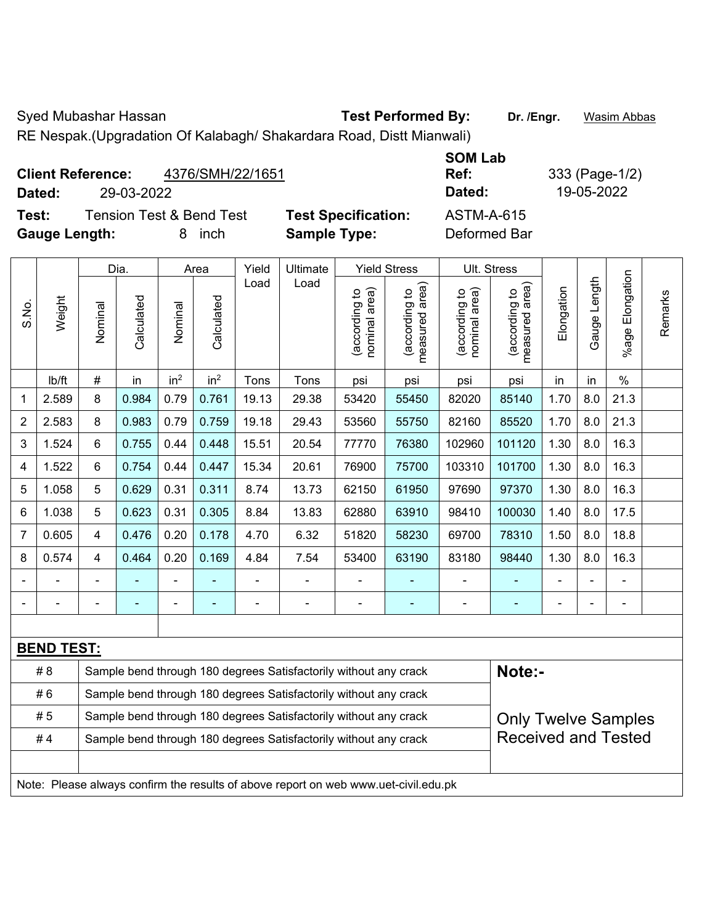Syed Mubashar Hassan **Test Performed By:** Dr. /Engr. **Wasim Abbas** 

RE Nespak.(Upgradation Of Kalabagh/ Shakardara Road, Distt Mianwali)

| <b>Client Reference:</b><br>Dated: | 29-03-2022 | 4376/SMH/22/1651                    |                            | <b>SOM Lab</b><br>Ref:<br>Dated: | 333 (Page-1/2)<br>19-05-2022 |
|------------------------------------|------------|-------------------------------------|----------------------------|----------------------------------|------------------------------|
| Test:                              |            | <b>Tension Test &amp; Bend Test</b> | <b>Test Specification:</b> | <b>ASTM-A-615</b>                |                              |
| <b>Gauge Length:</b>               |            | <i>inch</i><br>8                    | <b>Sample Type:</b>        | Deformed Bar                     |                              |

|                |                   |                                                                                                | Dia.       |                              | Area            | Yield          | Ultimate                                                                            |                                | <b>Yield Stress</b>             |                                | Ult. Stress                     |            |              |                 |         |
|----------------|-------------------|------------------------------------------------------------------------------------------------|------------|------------------------------|-----------------|----------------|-------------------------------------------------------------------------------------|--------------------------------|---------------------------------|--------------------------------|---------------------------------|------------|--------------|-----------------|---------|
| S.No.          | Weight            | Nominal                                                                                        | Calculated | Nominal                      | Calculated      | Load           | Load                                                                                | nominal area)<br>(according to | (according to<br>measured area) | nominal area)<br>(according to | (according to<br>measured area) | Elongation | Gauge Length | %age Elongation | Remarks |
|                | lb/ft             | #                                                                                              | in         | in <sup>2</sup>              | in <sup>2</sup> | Tons           | Tons                                                                                | psi                            | psi                             | psi                            | psi                             | in         | in           | $\%$            |         |
| 1              | 2.589             | 8                                                                                              | 0.984      | 0.79                         | 0.761           | 19.13          | 29.38                                                                               | 53420                          | 55450                           | 82020                          | 85140                           | 1.70       | 8.0          | 21.3            |         |
| $\overline{2}$ | 2.583             | 8                                                                                              | 0.983      | 0.79                         | 0.759           | 19.18          | 29.43                                                                               | 53560                          | 55750                           | 82160                          | 85520                           | 1.70       | 8.0          | 21.3            |         |
| 3              | 1.524             | 6                                                                                              | 0.755      | 0.44                         | 0.448           | 15.51          | 20.54                                                                               | 77770                          | 76380                           | 102960                         | 101120                          | 1.30       | 8.0          | 16.3            |         |
| 4              | 1.522             | 6                                                                                              | 0.754      | 0.44                         | 0.447           | 15.34          | 20.61                                                                               | 76900                          | 75700                           | 103310                         | 101700                          | 1.30       | 8.0          | 16.3            |         |
| 5              | 1.058             | 5                                                                                              | 0.629      | 0.31                         | 0.311           | 8.74           | 13.73                                                                               | 62150                          | 61950                           | 97690                          | 97370                           | 1.30       | 8.0          | 16.3            |         |
| 6              | 1.038             | 5                                                                                              | 0.623      | 0.31                         | 0.305           | 8.84           | 13.83                                                                               | 62880                          | 63910                           | 98410                          | 100030                          | 1.40       | 8.0          | 17.5            |         |
| $\overline{7}$ | 0.605             | $\overline{\mathbf{4}}$                                                                        | 0.476      | 0.20                         | 0.178           | 4.70           | 6.32                                                                                | 51820                          | 58230                           | 69700                          | 78310                           | 1.50       | 8.0          | 18.8            |         |
| 8              | 0.574             | $\overline{\mathbf{4}}$                                                                        | 0.464      | 0.20                         | 0.169           | 4.84           | 7.54                                                                                | 53400                          | 63190                           | 83180                          | 98440                           | 1.30       | 8.0          | 16.3            |         |
|                |                   |                                                                                                |            | ÷                            |                 | ä,             | ä,                                                                                  | ÷,                             |                                 |                                |                                 |            |              | $\blacksquare$  |         |
|                |                   | $\blacksquare$                                                                                 | ۰          | $\qquad \qquad \blacksquare$ | ۰               | $\blacksquare$ | $\overline{\phantom{a}}$                                                            | $\blacksquare$                 | ۰                               | $\blacksquare$                 | $\blacksquare$                  | ٠          |              | $\blacksquare$  |         |
|                |                   |                                                                                                |            |                              |                 |                |                                                                                     |                                |                                 |                                |                                 |            |              |                 |         |
|                | <b>BEND TEST:</b> |                                                                                                |            |                              |                 |                |                                                                                     |                                |                                 |                                |                                 |            |              |                 |         |
|                | #8                |                                                                                                |            |                              |                 |                | Sample bend through 180 degrees Satisfactorily without any crack                    |                                |                                 |                                | Note:-                          |            |              |                 |         |
|                | #6                |                                                                                                |            |                              |                 |                | Sample bend through 180 degrees Satisfactorily without any crack                    |                                |                                 |                                |                                 |            |              |                 |         |
|                | #5                | Sample bend through 180 degrees Satisfactorily without any crack<br><b>Only Twelve Samples</b> |            |                              |                 |                |                                                                                     |                                |                                 |                                |                                 |            |              |                 |         |
|                | #4                |                                                                                                |            |                              |                 |                | Sample bend through 180 degrees Satisfactorily without any crack                    |                                |                                 |                                | <b>Received and Tested</b>      |            |              |                 |         |
|                |                   |                                                                                                |            |                              |                 |                |                                                                                     |                                |                                 |                                |                                 |            |              |                 |         |
|                |                   |                                                                                                |            |                              |                 |                | Note: Please always confirm the results of above report on web www.uet-civil.edu.pk |                                |                                 |                                |                                 |            |              |                 |         |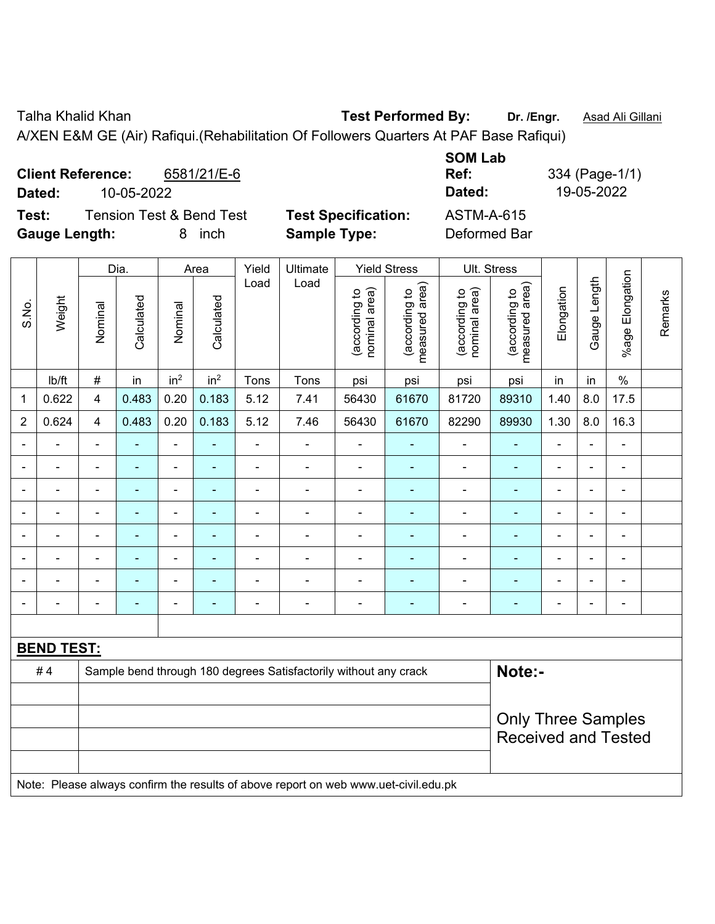Talha Khalid Khan **Test Performed By: Dr. /Engr.** Asad Ali Gillani

A/XEN E&M GE (Air) Rafiqui.(Rehabilitation Of Followers Quarters At PAF Base Rafiqui)

| <b>Client Reference:</b><br>6581/21/E-6<br>10-05-2022<br>Dated: |                            | <b>SOM Lab</b><br>Ref:<br>Dated: | 334 (Page-1/1)<br>19-05-2022 |
|-----------------------------------------------------------------|----------------------------|----------------------------------|------------------------------|
| <b>Tension Test &amp; Bend Test</b><br>Test:                    | <b>Test Specification:</b> | <b>ASTM-A-615</b>                |                              |
| <b>Gauge Length:</b><br><i>inch</i><br>8                        | <b>Sample Type:</b>        | Deformed Bar                     |                              |

|                          | <b>Yield Stress</b><br>Ult. Stress |                            |                |                 |                 |                |                                                                                     |                                |                                 |                                |                                 |                |                |                          |         |
|--------------------------|------------------------------------|----------------------------|----------------|-----------------|-----------------|----------------|-------------------------------------------------------------------------------------|--------------------------------|---------------------------------|--------------------------------|---------------------------------|----------------|----------------|--------------------------|---------|
|                          |                                    |                            | Dia.           |                 | Area            | Yield          | Ultimate                                                                            |                                |                                 |                                |                                 |                |                |                          |         |
| S.No.                    | Weight                             | Nominal                    | Calculated     | Nominal         | Calculated      | Load           | Load                                                                                | nominal area)<br>(according to | (according to<br>measured area) | nominal area)<br>(according to | (according to<br>measured area) | Elongation     | Gauge Length   | %age Elongation          | Remarks |
|                          | lb/ft                              | $\#$                       | in             | in <sup>2</sup> | in <sup>2</sup> | Tons           | Tons                                                                                | psi                            | psi                             | psi                            | psi                             | in             | in             | $\%$                     |         |
| 1                        | 0.622                              | 4                          | 0.483          | 0.20            | 0.183           | 5.12           | 7.41                                                                                | 56430                          | 61670                           | 81720                          | 89310                           | 1.40           | 8.0            | 17.5                     |         |
| $\overline{2}$           | 0.624                              | $\overline{4}$             | 0.483          | 0.20            | 0.183           | 5.12           | 7.46                                                                                | 56430                          | 61670                           | 82290                          | 89930                           | 1.30           | 8.0            | 16.3                     |         |
| $\overline{\phantom{a}}$ | ۰                                  | $\blacksquare$             | $\blacksquare$ | $\frac{1}{2}$   | $\blacksquare$  | $\blacksquare$ | $\blacksquare$                                                                      | $\blacksquare$                 | $\blacksquare$                  | $\blacksquare$                 | $\blacksquare$                  | $\blacksquare$ | $\blacksquare$ | $\blacksquare$           |         |
|                          | ä,                                 | L,                         | ÷,             | $\blacksquare$  | $\blacksquare$  | ÷              | $\blacksquare$                                                                      | ä,                             | $\blacksquare$                  | ÷,                             | $\blacksquare$                  | L,             | $\blacksquare$ | $\blacksquare$           |         |
|                          |                                    | $\blacksquare$             | $\blacksquare$ | $\blacksquare$  | $\blacksquare$  | ä,             | $\blacksquare$                                                                      | $\blacksquare$                 | $\blacksquare$                  | $\blacksquare$                 | $\blacksquare$                  | L,             |                | $\blacksquare$           |         |
|                          |                                    | L,                         | $\blacksquare$ | ÷               |                 | ÷              | $\blacksquare$                                                                      | $\blacksquare$                 |                                 | $\blacksquare$                 | $\blacksquare$                  |                |                | $\blacksquare$           |         |
| $\blacksquare$           |                                    | L.                         | $\blacksquare$ | ÷               |                 | $\blacksquare$ | $\blacksquare$                                                                      | $\blacksquare$                 | $\blacksquare$                  | $\overline{\phantom{a}}$       | $\overline{\phantom{a}}$        | $\overline{a}$ |                | $\overline{\phantom{a}}$ |         |
| ۰                        |                                    | $\blacksquare$             | $\blacksquare$ | $\blacksquare$  | ۰               | ÷              | $\blacksquare$                                                                      | $\blacksquare$                 | $\blacksquare$                  | $\blacksquare$                 | ٠                               | $\blacksquare$ |                | $\blacksquare$           |         |
|                          |                                    |                            | ÷              | Ĭ.              |                 | ÷              | $\overline{a}$                                                                      | $\blacksquare$                 | ÷                               | $\blacksquare$                 |                                 | Ē,             |                | $\blacksquare$           |         |
| $\blacksquare$           |                                    | $\blacksquare$             | $\blacksquare$ | ÷               | $\overline{a}$  | $\overline{a}$ | $\overline{\phantom{a}}$                                                            | $\overline{a}$                 | ۰                               | $\blacksquare$                 | $\blacksquare$                  | $\blacksquare$ |                | ÷                        |         |
|                          |                                    |                            |                |                 |                 |                |                                                                                     |                                |                                 |                                |                                 |                |                |                          |         |
|                          | <b>BEND TEST:</b>                  |                            |                |                 |                 |                |                                                                                     |                                |                                 |                                |                                 |                |                |                          |         |
|                          | #4                                 |                            |                |                 |                 |                | Sample bend through 180 degrees Satisfactorily without any crack                    |                                |                                 |                                | Note:-                          |                |                |                          |         |
|                          |                                    |                            |                |                 |                 |                |                                                                                     |                                |                                 |                                |                                 |                |                |                          |         |
|                          |                                    |                            |                |                 |                 |                |                                                                                     |                                |                                 |                                | <b>Only Three Samples</b>       |                |                |                          |         |
|                          |                                    | <b>Received and Tested</b> |                |                 |                 |                |                                                                                     |                                |                                 |                                |                                 |                |                |                          |         |
|                          |                                    |                            |                |                 |                 |                |                                                                                     |                                |                                 |                                |                                 |                |                |                          |         |
|                          |                                    |                            |                |                 |                 |                | Note: Please always confirm the results of above report on web www.uet-civil.edu.pk |                                |                                 |                                |                                 |                |                |                          |         |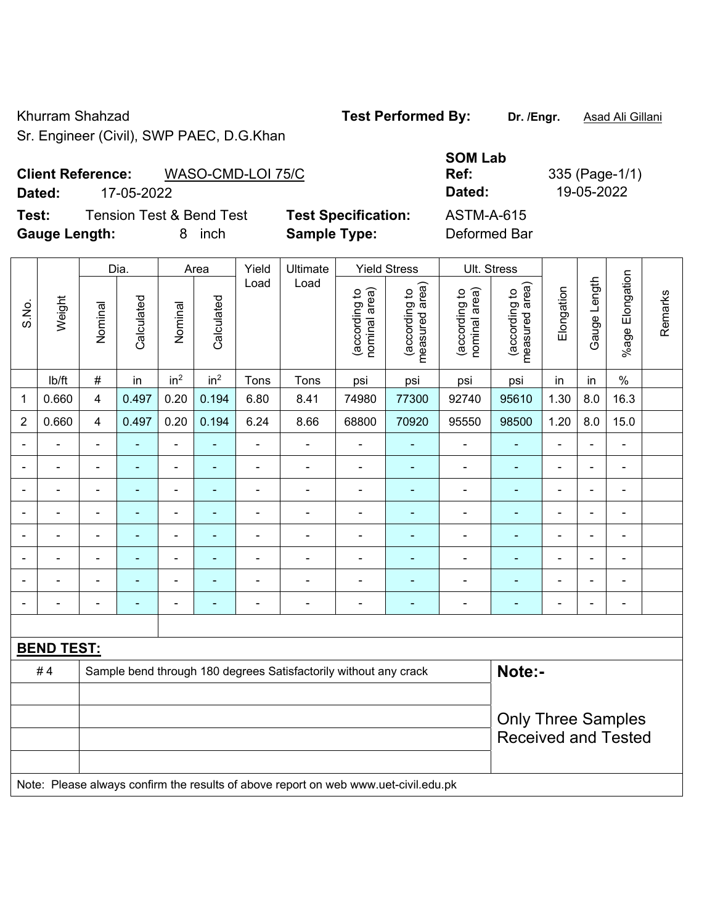Sr. Engineer (Civil), SWP PAEC, D.G.Khan

Khurram Shahzad **Test Performed By:** Dr. /Engr. **Asad Ali Gillani** 

## **Client Reference:** WASO-CMD-LOI 75/C

**Test:** Tension Test & Bend Test **Test Specification: Gauge Length:** 8 inch **Sample Type:** Deformed Bar

|                             | <b>Client Reference:</b><br>WASO-CMD-LOI 75/C |                            | <b>SOM Lab</b><br>Ref: | 335 (Page-1/1) |
|-----------------------------|-----------------------------------------------|----------------------------|------------------------|----------------|
| Dated:                      | 17-05-2022                                    |                            | Dated:                 | 19-05-2022     |
| Test:                       | <b>Tension Test &amp; Bend Test</b>           | <b>Test Specification:</b> | ASTM-A-615             |                |
| $\sim$ $\sim$ $\sim$ $\sim$ |                                               |                            |                        |                |

|                |                   |                          | Dia.           |                          | Area            | Yield          | Ultimate                                                                            |                                | <b>Yield Stress</b>             | Ult. Stress                    |                                 |                |                |                          |         |
|----------------|-------------------|--------------------------|----------------|--------------------------|-----------------|----------------|-------------------------------------------------------------------------------------|--------------------------------|---------------------------------|--------------------------------|---------------------------------|----------------|----------------|--------------------------|---------|
| S.No.          | Weight            | Nominal                  | Calculated     | Nominal                  | Calculated      | Load           | Load                                                                                | (according to<br>nominal area) | (according to<br>measured area) | (according to<br>nominal area) | (according to<br>measured area) | Elongation     | Gauge Length   | %age Elongation          | Remarks |
|                | lb/ft             | $\#$                     | in             | in <sup>2</sup>          | in <sup>2</sup> | Tons           | Tons                                                                                | psi                            | psi                             | psi                            | psi                             | in             | in             | $\frac{0}{0}$            |         |
| $\mathbf{1}$   | 0.660             | 4                        | 0.497          | 0.20                     | 0.194           | 6.80           | 8.41                                                                                | 74980                          | 77300                           | 92740                          | 95610                           | 1.30           | 8.0            | 16.3                     |         |
| $\overline{2}$ | 0.660             | $\overline{4}$           | 0.497          | 0.20                     | 0.194           | 6.24           | 8.66                                                                                | 68800                          | 70920                           | 95550                          | 98500                           | 1.20           | 8.0            | 15.0                     |         |
| ä,             | ÷.                | $\blacksquare$           | ä,             | $\blacksquare$           | $\blacksquare$  | $\blacksquare$ | ÷,                                                                                  | $\blacksquare$                 | ÷,                              | ÷,                             | $\blacksquare$                  | $\blacksquare$ | $\blacksquare$ | $\blacksquare$           |         |
| $\blacksquare$ | ÷.                | $\blacksquare$           | $\frac{1}{2}$  | $\overline{\phantom{a}}$ | $\sim$          | $\blacksquare$ | $\blacksquare$                                                                      | $\blacksquare$                 | ÷,                              | $\overline{\phantom{a}}$       | $\blacksquare$                  | $\blacksquare$ | $\blacksquare$ | ä,                       |         |
| $\blacksquare$ | $\blacksquare$    | $\blacksquare$           | ÷,             | $\blacksquare$           | ٠               | $\blacksquare$ | ä,                                                                                  | $\blacksquare$                 | ÷,                              | ä,                             | $\blacksquare$                  | $\blacksquare$ | $\blacksquare$ | $\blacksquare$           |         |
|                | $\overline{a}$    | $\overline{\phantom{a}}$ | $\blacksquare$ | $\overline{\phantom{a}}$ | $\blacksquare$  | $\blacksquare$ | ÷,                                                                                  | ÷                              | $\blacksquare$                  | ÷                              | $\blacksquare$                  | $\blacksquare$ |                | $\overline{\phantom{0}}$ |         |
|                |                   | $\blacksquare$           | $\blacksquare$ | $\blacksquare$           | $\blacksquare$  | $\blacksquare$ | $\blacksquare$                                                                      | $\blacksquare$                 | $\blacksquare$                  | $\blacksquare$                 | ÷,                              | $\blacksquare$ |                | ÷                        |         |
|                | $\blacksquare$    | ä,                       |                | $\overline{\phantom{a}}$ | ä,              |                |                                                                                     | Ē,                             | ۰                               |                                | ۳                               |                |                | ÷                        |         |
| $\blacksquare$ | $\blacksquare$    | $\blacksquare$           | ۰              | $\overline{\phantom{a}}$ | ä,              |                | $\blacksquare$                                                                      | $\blacksquare$                 | ۰                               | $\blacksquare$                 | -                               | $\blacksquare$ |                | ۰                        |         |
| $\blacksquare$ | $\overline{a}$    | $\overline{\phantom{a}}$ | ٠              | $\overline{\phantom{a}}$ | ۰               | $\blacksquare$ | ÷                                                                                   | ÷                              | ٠                               | ÷                              | $\blacksquare$                  | $\blacksquare$ | $\blacksquare$ | $\blacksquare$           |         |
|                |                   |                          |                |                          |                 |                |                                                                                     |                                |                                 |                                |                                 |                |                |                          |         |
|                | <b>BEND TEST:</b> |                          |                |                          |                 |                |                                                                                     |                                |                                 |                                |                                 |                |                |                          |         |
|                | #4                |                          |                |                          |                 |                | Sample bend through 180 degrees Satisfactorily without any crack                    |                                |                                 |                                | Note:-                          |                |                |                          |         |
|                |                   |                          |                |                          |                 |                |                                                                                     |                                |                                 |                                |                                 |                |                |                          |         |
|                |                   |                          |                |                          |                 |                |                                                                                     |                                |                                 |                                | <b>Only Three Samples</b>       |                |                |                          |         |
|                |                   |                          |                |                          |                 |                |                                                                                     |                                |                                 |                                | <b>Received and Tested</b>      |                |                |                          |         |
|                |                   |                          |                |                          |                 |                |                                                                                     |                                |                                 |                                |                                 |                |                |                          |         |
|                |                   |                          |                |                          |                 |                | Note: Please always confirm the results of above report on web www.uet-civil.edu.pk |                                |                                 |                                |                                 |                |                |                          |         |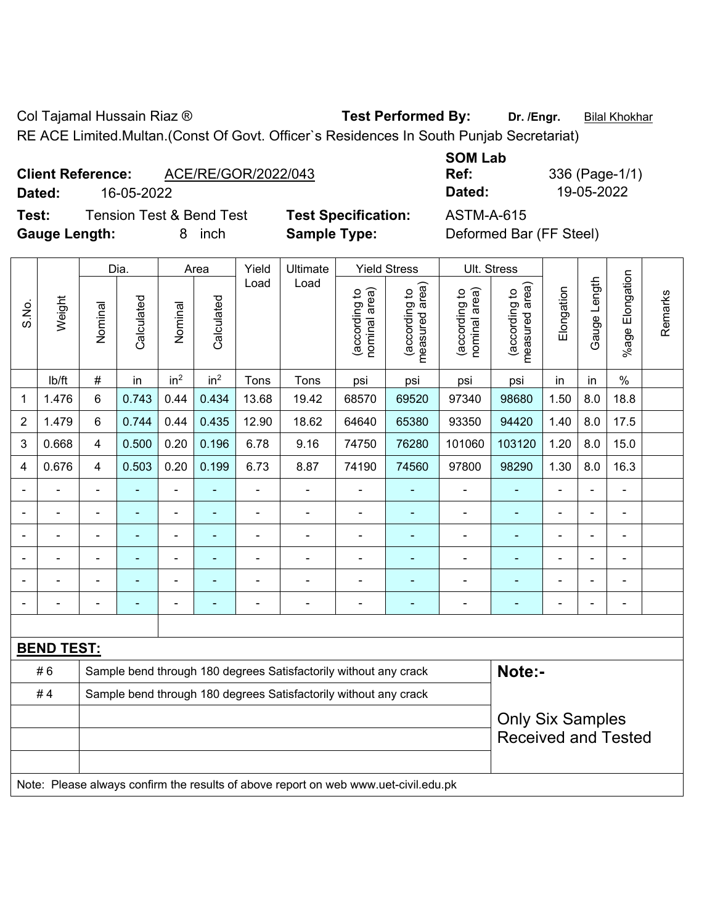Col Tajamal Hussain Riaz ® **Test Performed By:** Dr. /Engr. **Bilal Khokhar** 

RE ACE Limited.Multan.(Const Of Govt. Officer`s Residences In South Punjab Secretariat)

| <b>Client Reference:</b> |            | ACE/RE/GOR/2022/043 | _________ |              |
|--------------------------|------------|---------------------|-----------|--------------|
|                          |            |                     | Ref:      | 336 (Page-1/ |
| Dated:                   | 16-05-2022 |                     | Dated:    | 19-05-2022   |

**Test:** Tension Test & Bend Test **Test Specification:** ASTM-A-615 **Gauge Length:** 8 inch **Sample Type:** Deformed Bar (FF Steel)

**SOM Lab Ref:** 336 (Page-1/1)

|                |                   |                                                       | Dia.                                                                                                                                        |                 | Area            | Yield          | Ultimate                                                                            |                                | <b>Yield Stress</b>             |                                | Ult. Stress                     |                |                |                       |         |
|----------------|-------------------|-------------------------------------------------------|---------------------------------------------------------------------------------------------------------------------------------------------|-----------------|-----------------|----------------|-------------------------------------------------------------------------------------|--------------------------------|---------------------------------|--------------------------------|---------------------------------|----------------|----------------|-----------------------|---------|
| S.No.          | Weight            | Nominal                                               | Calculated                                                                                                                                  | Nominal         | Calculated      | Load           | Load                                                                                | nominal area)<br>(according to | (according to<br>measured area) | nominal area)<br>(according to | (according to<br>measured area) | Elongation     | Gauge Length   | Elongation<br>$%$ age | Remarks |
|                | lb/ft             | $\#$                                                  | in                                                                                                                                          | in <sup>2</sup> | in <sup>2</sup> | Tons           | Tons                                                                                | psi                            | psi                             | psi                            | psi                             | in             | in             | $\frac{0}{0}$         |         |
| 1              | 1.476             | 6                                                     | 0.743                                                                                                                                       | 0.44            | 0.434           | 13.68          | 19.42                                                                               | 68570                          | 69520                           | 97340                          | 98680                           | 1.50           | 8.0            | 18.8                  |         |
| $\overline{2}$ | 1.479             | 6                                                     | 0.744                                                                                                                                       | 0.44            | 0.435           | 12.90          | 18.62                                                                               | 64640                          | 65380                           | 93350                          | 94420                           | 1.40           | 8.0            | 17.5                  |         |
| 3              | 0.668             | 4                                                     | 0.500                                                                                                                                       | 0.20            | 0.196           | 6.78           | 9.16                                                                                | 74750                          | 76280                           | 101060                         | 103120                          | 1.20           | 8.0            | 15.0                  |         |
| 4              | 0.676             | 4                                                     | 0.503                                                                                                                                       | 0.20            | 0.199           | 6.73           | 8.87                                                                                | 74190                          | 74560                           | 97800                          | 98290                           | 1.30           | 8.0            | 16.3                  |         |
|                | ä,                | $\blacksquare$                                        | ٠                                                                                                                                           | ÷,              |                 | $\blacksquare$ | ä,                                                                                  | L,                             | ٠                               | $\blacksquare$                 | ÷,                              | $\blacksquare$ | $\blacksquare$ | ä,                    |         |
|                | L,                | $\blacksquare$                                        | ٠                                                                                                                                           | ÷,              | ۰               | $\blacksquare$ | ä,                                                                                  | $\blacksquare$                 | $\blacksquare$                  | $\overline{a}$                 | $\blacksquare$                  | ä,             | $\blacksquare$ | ä,                    |         |
|                |                   |                                                       | $\blacksquare$<br>$\blacksquare$<br>$\blacksquare$<br>Ē,<br>$\blacksquare$<br>$\blacksquare$<br>ä,<br>$\blacksquare$<br>$\blacksquare$<br>٠ |                 |                 |                |                                                                                     |                                |                                 |                                |                                 |                |                |                       |         |
|                |                   |                                                       |                                                                                                                                             | $\blacksquare$  |                 |                | ÷                                                                                   |                                |                                 | $\blacksquare$                 |                                 |                | $\blacksquare$ | ÷                     |         |
|                |                   |                                                       | -                                                                                                                                           | ۰               |                 |                |                                                                                     |                                |                                 | ÷                              | ÷                               | $\blacksquare$ | $\blacksquare$ | $\blacksquare$        |         |
|                |                   | $\blacksquare$                                        | ۰                                                                                                                                           | ۰               | ۰               | $\blacksquare$ | $\blacksquare$                                                                      | Ē,                             | ٠                               | $\overline{a}$                 | ÷                               | $\blacksquare$ | $\blacksquare$ | ÷                     |         |
|                |                   |                                                       |                                                                                                                                             |                 |                 |                |                                                                                     |                                |                                 |                                |                                 |                |                |                       |         |
|                | <b>BEND TEST:</b> |                                                       |                                                                                                                                             |                 |                 |                |                                                                                     |                                |                                 |                                |                                 |                |                |                       |         |
|                | #6                |                                                       |                                                                                                                                             |                 |                 |                | Sample bend through 180 degrees Satisfactorily without any crack                    |                                |                                 |                                | Note:-                          |                |                |                       |         |
|                | #4                |                                                       |                                                                                                                                             |                 |                 |                | Sample bend through 180 degrees Satisfactorily without any crack                    |                                |                                 |                                |                                 |                |                |                       |         |
|                |                   | <b>Only Six Samples</b><br><b>Received and Tested</b> |                                                                                                                                             |                 |                 |                |                                                                                     |                                |                                 |                                |                                 |                |                |                       |         |
|                |                   |                                                       |                                                                                                                                             |                 |                 |                | Note: Please always confirm the results of above report on web www.uet-civil.edu.pk |                                |                                 |                                |                                 |                |                |                       |         |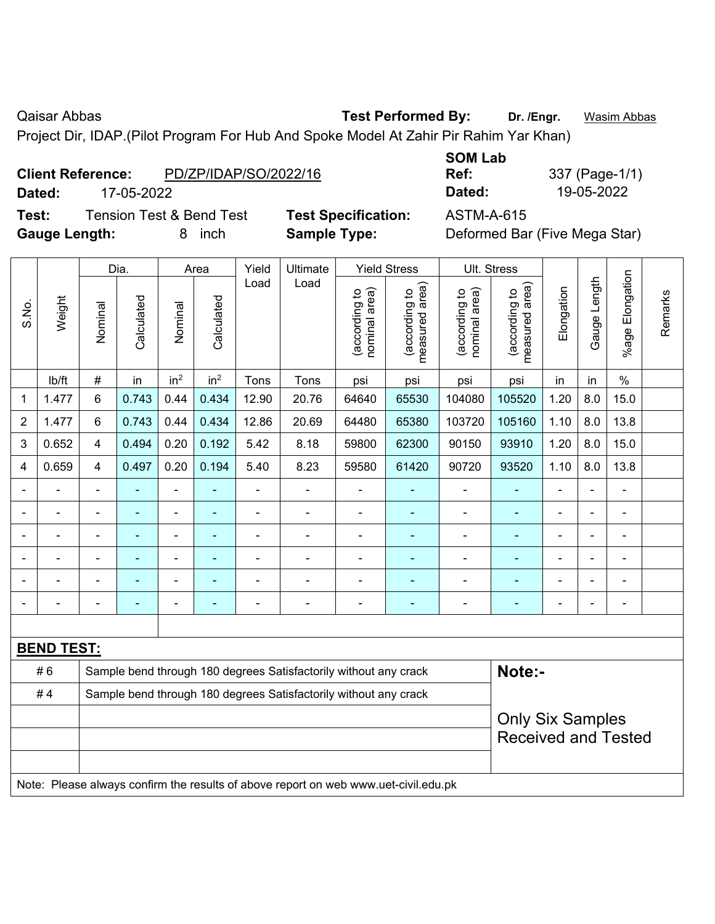Qaisar Abbas **Test Performed By:** Dr. /Engr. **Wasim Abbas Dr. 7 Community** Cases **Dr.** *Wasim Abbas* 

Project Dir, IDAP.(Pilot Program For Hub And Spoke Model At Zahir Pir Rahim Yar Khan)

|--|

**Test:** Tension Test & Bend Test **Test Specification:** ASTM-A-615 **Gauge Length:** 8 inch **Sample Type:** Deformed Bar (Five Mega Star)

**SOM Lab Ref:** 337 (Page-1/1) **Dated:** 17-05-2022 **Dated:** 19-05-2022

|                |                   |                            | Dia.           |                              | Area            | Yield          | Ultimate                                                                            |                                | <b>Yield Stress</b>             | Ult. Stress                    |                                 |                |                          |                         |         |
|----------------|-------------------|----------------------------|----------------|------------------------------|-----------------|----------------|-------------------------------------------------------------------------------------|--------------------------------|---------------------------------|--------------------------------|---------------------------------|----------------|--------------------------|-------------------------|---------|
| S.No.          | Weight            | Nominal                    | Calculated     | Nominal                      | Calculated      | Load           | Load                                                                                | nominal area)<br>(according to | (according to<br>measured area) | nominal area)<br>(according to | measured area)<br>(according to | Elongation     | Gauge Length             | Elongation<br>$%$ age I | Remarks |
|                | Ib/ft             | $\#$                       | in             | in <sup>2</sup>              | in <sup>2</sup> | Tons           | Tons                                                                                | psi                            | psi                             | psi                            | psi                             | in             | in                       | $\%$                    |         |
| 1              | 1.477             | 6                          | 0.743          | 0.44                         | 0.434           | 12.90          | 20.76                                                                               | 64640                          | 65530                           | 104080                         | 105520                          | 1.20           | 8.0                      | 15.0                    |         |
| $\overline{2}$ | 1.477             | 6                          | 0.743          | 0.44                         | 0.434           | 12.86          | 20.69                                                                               | 64480                          | 65380                           | 103720                         | 105160                          | 1.10           | 8.0                      | 13.8                    |         |
| 3              | 0.652             | $\overline{4}$             | 0.494          | 0.20                         | 0.192           | 5.42           | 8.18                                                                                | 59800                          | 62300                           | 90150                          | 93910                           | 1.20           | 8.0                      | 15.0                    |         |
| 4              | 0.659             | 4                          | 0.497          | 0.20                         | 0.194           | 5.40           | 8.23                                                                                | 59580                          | 61420                           | 90720                          | 93520                           | 1.10           | 8.0                      | 13.8                    |         |
| $\blacksquare$ | $\blacksquare$    | $\blacksquare$             | ä,             | ÷,                           | ۰               | $\blacksquare$ | $\overline{\phantom{a}}$                                                            | $\blacksquare$                 | ×,                              | $\overline{a}$                 | $\blacksquare$                  | ä,             | ä,                       | $\blacksquare$          |         |
|                |                   |                            | $\blacksquare$ | $\qquad \qquad \blacksquare$ | ٠               | $\overline{a}$ | $\blacksquare$                                                                      | ä,                             | $\blacksquare$                  | $\overline{\phantom{a}}$       | $\blacksquare$                  | ä,             | Ē,                       | $\blacksquare$          |         |
|                |                   | $\blacksquare$             | ä,             | $\overline{\phantom{a}}$     | ٠               | $\blacksquare$ | $\blacksquare$                                                                      | $\overline{a}$                 | ä,                              | $\blacksquare$                 | $\blacksquare$                  | $\blacksquare$ | $\overline{\phantom{0}}$ | ÷                       |         |
|                | $\blacksquare$    | $\blacksquare$             | ÷,             | $\overline{\phantom{a}}$     | ۰               | $\blacksquare$ | $\blacksquare$                                                                      | ä,                             | ٠                               | $\overline{a}$                 | $\blacksquare$                  |                |                          | $\blacksquare$          |         |
|                |                   |                            |                |                              |                 |                |                                                                                     |                                | ÷                               | $\blacksquare$                 | ۳                               |                |                          |                         |         |
|                |                   |                            |                | -                            |                 |                |                                                                                     |                                |                                 |                                |                                 |                |                          | $\blacksquare$          |         |
|                |                   |                            |                |                              |                 |                |                                                                                     |                                |                                 |                                |                                 |                |                          |                         |         |
|                | <b>BEND TEST:</b> |                            |                |                              |                 |                |                                                                                     |                                |                                 |                                |                                 |                |                          |                         |         |
|                | #6                |                            |                |                              |                 |                | Sample bend through 180 degrees Satisfactorily without any crack                    |                                |                                 |                                | Note:-                          |                |                          |                         |         |
|                | #4                |                            |                |                              |                 |                | Sample bend through 180 degrees Satisfactorily without any crack                    |                                |                                 |                                |                                 |                |                          |                         |         |
|                |                   |                            |                |                              |                 |                |                                                                                     |                                |                                 |                                | <b>Only Six Samples</b>         |                |                          |                         |         |
|                |                   | <b>Received and Tested</b> |                |                              |                 |                |                                                                                     |                                |                                 |                                |                                 |                |                          |                         |         |
|                |                   |                            |                |                              |                 |                |                                                                                     |                                |                                 |                                |                                 |                |                          |                         |         |
|                |                   |                            |                |                              |                 |                | Note: Please always confirm the results of above report on web www.uet-civil.edu.pk |                                |                                 |                                |                                 |                |                          |                         |         |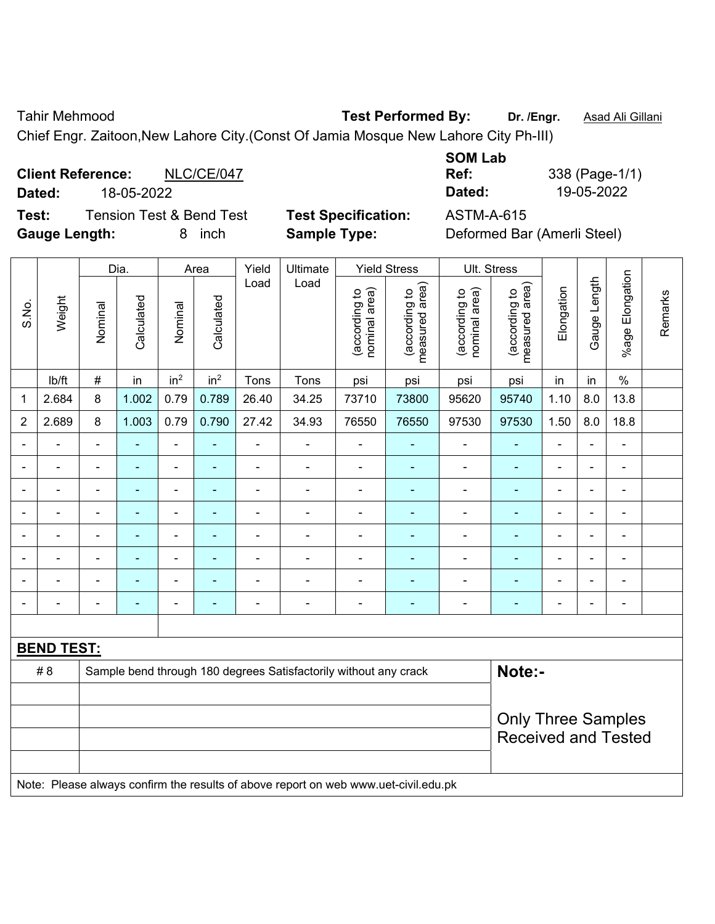Tahir Mehmood **Test Performed By: Dr. /Engr.** Asad Ali Gillani

Chief Engr. Zaitoon,New Lahore City.(Const Of Jamia Mosque New Lahore City Ph-III)

**Client Reference:** NLC/CE/047 **Dated:** 18-05-2022 **Dated:** 19-05-2022 **Test:** Tension Test & Bend Test **Test Specification:** ASTM-A-615

**SOM Lab Ref:** 338 (Page-1/1)

**Gauge Length:** 8 inch **Sample Type:** Deformed Bar (Amerli Steel)

|                |                   |                           | Dia.           |                              | Area            | Yield          | Ultimate                                                                            |                                | <b>Yield Stress</b>             |                                | Ult. Stress                     |                |                          |                              |         |
|----------------|-------------------|---------------------------|----------------|------------------------------|-----------------|----------------|-------------------------------------------------------------------------------------|--------------------------------|---------------------------------|--------------------------------|---------------------------------|----------------|--------------------------|------------------------------|---------|
| S.No.          | Weight            | Nominal                   | Calculated     | Nominal                      | Calculated      | Load           | Load                                                                                | nominal area)<br>(according to | measured area)<br>(according to | nominal area)<br>(according to | (according to<br>measured area) | Elongation     | Gauge Length             | %age Elongation              | Remarks |
|                | lb/ft             | $\#$                      | in             | in <sup>2</sup>              | in <sup>2</sup> | Tons           | Tons                                                                                | psi                            | psi                             | psi                            | psi                             | in             | in                       | $\%$                         |         |
| 1              | 2.684             | 8                         | 1.002          | 0.79                         | 0.789           | 26.40          | 34.25                                                                               | 73710                          | 73800                           | 95620                          | 95740                           | 1.10           | 8.0                      | 13.8                         |         |
| $\overline{2}$ | 2.689             | 8                         | 1.003          | 0.79                         | 0.790           | 27.42          | 34.93                                                                               | 76550                          | 76550                           | 97530                          | 97530                           | 1.50           | 8.0                      | 18.8                         |         |
|                |                   |                           |                | $\blacksquare$               |                 |                |                                                                                     |                                |                                 |                                |                                 |                |                          |                              |         |
|                |                   |                           | $\overline{a}$ | ä,                           |                 | ä,             |                                                                                     | L,                             |                                 | $\blacksquare$                 | $\overline{a}$                  |                |                          | ÷                            |         |
|                |                   | $\overline{\phantom{0}}$  | ۰              | ÷,                           | ۰               | -              | ÷                                                                                   | $\overline{a}$                 | ٠                               | $\overline{\phantom{0}}$       | -                               |                | $\overline{\phantom{a}}$ | Ĭ.                           |         |
|                |                   | $\blacksquare$            | $\blacksquare$ | ÷,                           | $\blacksquare$  | $\blacksquare$ | $\blacksquare$                                                                      | ÷                              | $\blacksquare$                  | $\blacksquare$                 | -                               | $\blacksquare$ | ÷                        | $\qquad \qquad \blacksquare$ |         |
|                |                   | $\overline{\phantom{0}}$  | $\blacksquare$ | $\qquad \qquad \blacksquare$ | ۰               | $\blacksquare$ | $\blacksquare$                                                                      | L,                             | ٠                               | $\blacksquare$                 | $\blacksquare$                  | $\blacksquare$ | ÷                        | ä,                           |         |
|                |                   |                           |                | Ē,                           |                 |                |                                                                                     |                                |                                 |                                |                                 |                |                          | ÷                            |         |
|                |                   |                           |                | $\blacksquare$               |                 |                |                                                                                     |                                |                                 |                                |                                 |                |                          | ÷.                           |         |
|                |                   |                           |                | Ē,                           | -               | ä,             |                                                                                     | Ē,                             | Ē.                              | $\blacksquare$                 | $\blacksquare$                  |                |                          | ÷                            |         |
|                |                   |                           |                |                              |                 |                |                                                                                     |                                |                                 |                                |                                 |                |                          |                              |         |
|                | <b>BEND TEST:</b> |                           |                |                              |                 |                |                                                                                     |                                |                                 |                                |                                 |                |                          |                              |         |
|                | # 8               |                           |                |                              |                 |                | Sample bend through 180 degrees Satisfactorily without any crack                    |                                |                                 |                                | Note:-                          |                |                          |                              |         |
|                |                   |                           |                |                              |                 |                |                                                                                     |                                |                                 |                                |                                 |                |                          |                              |         |
|                |                   | <b>Only Three Samples</b> |                |                              |                 |                |                                                                                     |                                |                                 |                                |                                 |                |                          |                              |         |
|                |                   |                           |                |                              |                 |                |                                                                                     |                                |                                 |                                | <b>Received and Tested</b>      |                |                          |                              |         |
|                |                   |                           |                |                              |                 |                |                                                                                     |                                |                                 |                                |                                 |                |                          |                              |         |
|                |                   |                           |                |                              |                 |                | Note: Please always confirm the results of above report on web www.uet-civil.edu.pk |                                |                                 |                                |                                 |                |                          |                              |         |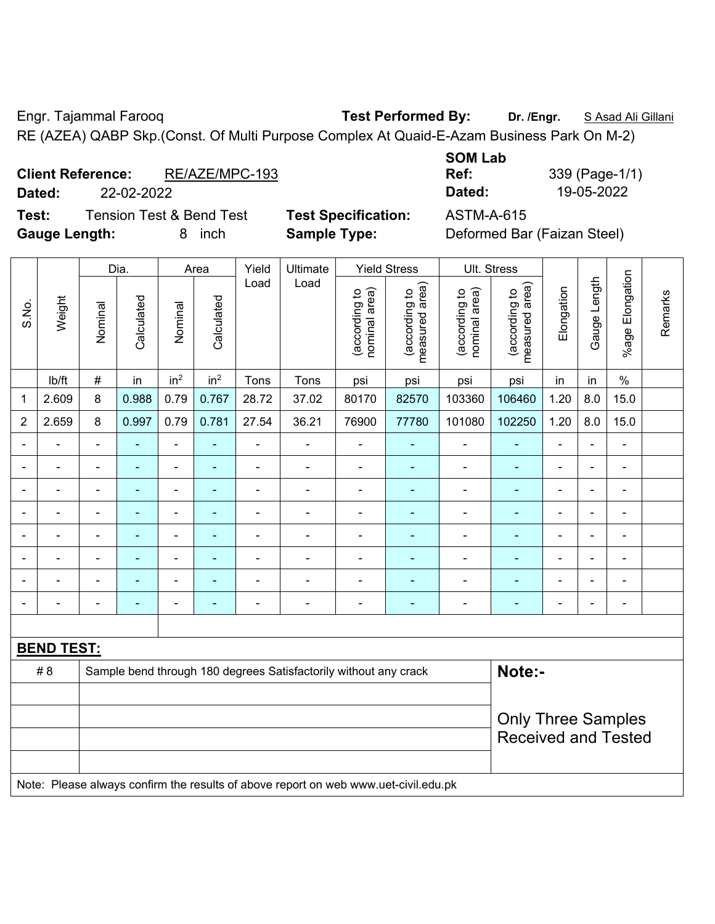Engr. Tajammal Farooq **Test Performed By: Dr. /Engr.** S Asad Ali Gillani

RE (AZEA) QABP Skp.(Const. Of Multi Purpose Complex At Quaid-E-Azam Business Park On M-2)

| <b>Client Reference:</b> | RE/AZE/MPC-193 | Ref:   | 339 (Page-1/ |
|--------------------------|----------------|--------|--------------|
| Dated:                   | 22-02-2022     | Dated: | 19-05-2022   |

**Test:** Tension Test & Bend Test **Test Specification:** ASTM-A-615 **Gauge Length:** 8 inch **Sample Type:** Deformed Bar (Faizan Steel)

| <b>SOM Lab</b> |                |
|----------------|----------------|
| Ref:           | 339 (Page-1/1) |
| Dated:         | 19-05-2022     |

|                |                   |                | Dia.           |                          | Area            | Yield          | Ultimate                                                                            |                                | <b>Yield Stress</b>             |                                | Ult. Stress                     |            |                          |                 |         |
|----------------|-------------------|----------------|----------------|--------------------------|-----------------|----------------|-------------------------------------------------------------------------------------|--------------------------------|---------------------------------|--------------------------------|---------------------------------|------------|--------------------------|-----------------|---------|
| S.No.          | Weight            | Nominal        | Calculated     | Nominal                  | Calculated      | Load           | Load                                                                                | nominal area)<br>(according to | measured area)<br>(according to | nominal area)<br>(according to | (according to<br>measured area) | Elongation | Gauge Length             | %age Elongation | Remarks |
|                | Ib/ft             | $\#$           | in             | in <sup>2</sup>          | in <sup>2</sup> | Tons           | Tons                                                                                | psi                            | psi                             | psi                            | psi                             | in         | in                       | $\%$            |         |
| 1              | 2.609             | 8              | 0.988          | 0.79                     | 0.767           | 28.72          | 37.02                                                                               | 80170                          | 82570                           | 103360                         | 106460                          | 1.20       | 8.0                      | 15.0            |         |
| $\overline{2}$ | 2.659             | 8              | 0.997          | 0.79                     | 0.781           | 27.54          | 36.21                                                                               | 76900                          | 77780                           | 101080                         | 102250                          | 1.20       | 8.0                      | 15.0            |         |
|                |                   |                |                | ÷,                       |                 | $\blacksquare$ | $\overline{\phantom{0}}$                                                            | ÷                              |                                 | $\blacksquare$                 | ä,                              |            |                          | $\blacksquare$  |         |
|                |                   |                | $\blacksquare$ | -                        |                 |                | $\overline{\phantom{0}}$                                                            | L,                             |                                 | ٠                              | ۰                               |            |                          | $\blacksquare$  |         |
|                |                   | $\blacksquare$ | ۰              | $\overline{\phantom{a}}$ | ۰               | $\blacksquare$ | $\blacksquare$                                                                      | Ē,                             | ٠                               | ٠                              | ٠                               |            | $\overline{\phantom{0}}$ | $\blacksquare$  |         |
|                |                   |                | $\blacksquare$ | $\overline{\phantom{a}}$ |                 | $\blacksquare$ | $\overline{\phantom{0}}$                                                            | ÷                              |                                 | $\blacksquare$                 | $\overline{\phantom{0}}$        |            |                          | $\blacksquare$  |         |
|                | Ē,                | $\blacksquare$ | ÷,             | $\overline{\phantom{0}}$ | ۰               | $\blacksquare$ | $\blacksquare$                                                                      | $\overline{a}$                 | ä,                              | $\blacksquare$                 | $\blacksquare$                  | ä,         |                          | $\blacksquare$  |         |
|                |                   |                | $\blacksquare$ | -                        |                 | Ē,             |                                                                                     |                                | ٠                               | Ē,                             | ۳                               |            |                          | $\blacksquare$  |         |
|                |                   |                |                |                          |                 |                |                                                                                     |                                |                                 |                                |                                 |            |                          |                 |         |
|                |                   |                |                | -                        |                 | ٠              | $\overline{a}$                                                                      | Ē,                             | ٠                               | ٠                              | ۰                               |            |                          | ÷               |         |
|                |                   |                |                |                          |                 |                |                                                                                     |                                |                                 |                                |                                 |            |                          |                 |         |
|                | <b>BEND TEST:</b> |                |                |                          |                 |                |                                                                                     |                                |                                 |                                |                                 |            |                          |                 |         |
|                | # 8               |                |                |                          |                 |                | Sample bend through 180 degrees Satisfactorily without any crack                    |                                |                                 |                                | Note:-                          |            |                          |                 |         |
|                |                   |                |                |                          |                 |                |                                                                                     |                                |                                 |                                |                                 |            |                          |                 |         |
|                |                   |                |                |                          |                 |                |                                                                                     |                                |                                 |                                | <b>Only Three Samples</b>       |            |                          |                 |         |
|                |                   |                |                |                          |                 |                |                                                                                     |                                |                                 |                                | <b>Received and Tested</b>      |            |                          |                 |         |
|                |                   |                |                |                          |                 |                |                                                                                     |                                |                                 |                                |                                 |            |                          |                 |         |
|                |                   |                |                |                          |                 |                | Note: Please always confirm the results of above report on web www.uet-civil.edu.pk |                                |                                 |                                |                                 |            |                          |                 |         |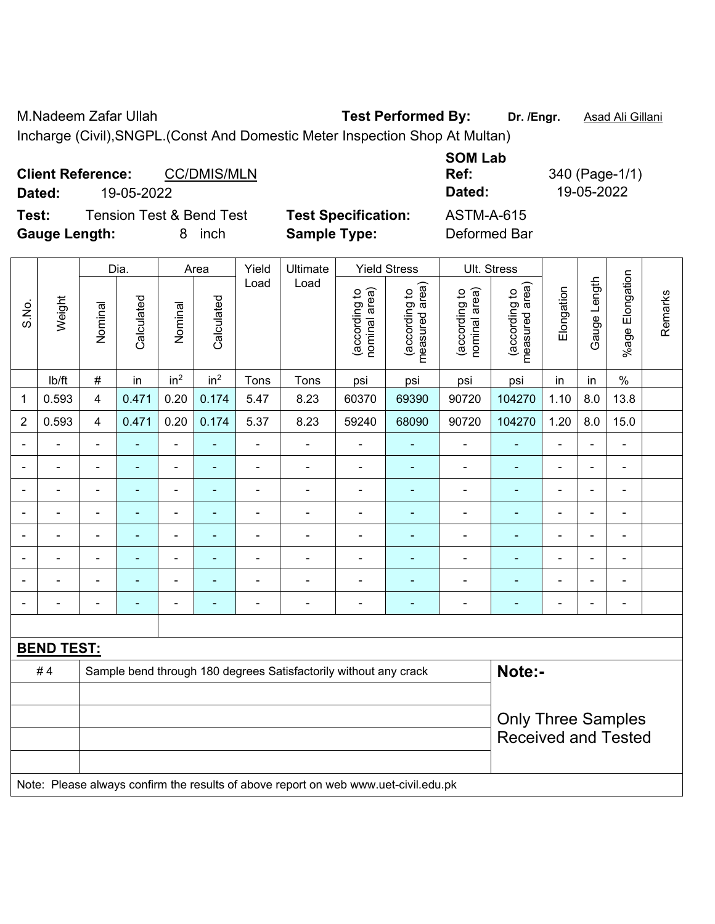M.Nadeem Zafar Ullah **Test Performed By: Dr. /Engr.** Asad Ali Gillani

Incharge (Civil),SNGPL.(Const And Domestic Meter Inspection Shop At Multan)

| <b>Client Reference:</b> |                          | <b>CC/DMIS/MLN</b> |                            | <b>SOM Lab</b><br>Ref: | 340 (Page-1/1) |
|--------------------------|--------------------------|--------------------|----------------------------|------------------------|----------------|
| Dated:                   | 19-05-2022               |                    |                            | Dated:                 | 19-05-2022     |
| Test:                    | Tension Test & Bend Test |                    | <b>Test Specification:</b> | <b>ASTM-A-615</b>      |                |
| <b>Gauge Length:</b>     |                          | inch               | <b>Sample Type:</b>        | Deformed Bar           |                |

|                |                                                                                     |                | Dia.           |                          | Area            | Yield          | Ultimate                                                         |                                | <b>Yield Stress</b>             |                                | Ult. Stress                     |                |                |                 |         |
|----------------|-------------------------------------------------------------------------------------|----------------|----------------|--------------------------|-----------------|----------------|------------------------------------------------------------------|--------------------------------|---------------------------------|--------------------------------|---------------------------------|----------------|----------------|-----------------|---------|
| S.No.          | Weight                                                                              | Nominal        | Calculated     | Nominal                  | Calculated      | Load           | Load                                                             | nominal area)<br>(according to | (according to<br>measured area) | (according to<br>nominal area) | (according to<br>measured area) | Elongation     | Gauge Length   | %age Elongation | Remarks |
|                | lb/ft                                                                               | $\#$           | in             | in <sup>2</sup>          | in <sup>2</sup> | Tons           | Tons                                                             | psi                            | psi                             | psi                            | psi                             | in             | in             | $\%$            |         |
| 1              | 0.593                                                                               | 4              | 0.471          | 0.20                     | 0.174           | 5.47           | 8.23                                                             | 60370                          | 69390                           | 90720                          | 104270                          | 1.10           | 8.0            | 13.8            |         |
| $\overline{2}$ | 0.593                                                                               | 4              | 0.471          | 0.20                     | 0.174           | 5.37           | 8.23                                                             | 59240                          | 68090                           | 90720                          | 104270                          | 1.20           | 8.0            | 15.0            |         |
|                |                                                                                     |                |                | ä,                       |                 | $\blacksquare$ | ä,                                                               | $\blacksquare$                 |                                 |                                |                                 | ä,             |                | ÷               |         |
| $\blacksquare$ | $\blacksquare$                                                                      | $\blacksquare$ | $\blacksquare$ | $\overline{\phantom{a}}$ | ٠               |                | $\blacksquare$                                                   | $\blacksquare$                 | ۰                               | $\overline{a}$                 | $\overline{\phantom{0}}$        | $\blacksquare$ | $\blacksquare$ | $\blacksquare$  |         |
| $\blacksquare$ | $\overline{a}$                                                                      | $\blacksquare$ | $\blacksquare$ | $\blacksquare$           | $\blacksquare$  | $\blacksquare$ | $\blacksquare$                                                   | $\blacksquare$                 | $\blacksquare$                  | ä,                             | $\blacksquare$                  | $\blacksquare$ | $\sim$         | $\blacksquare$  |         |
|                | $\blacksquare$                                                                      | $\blacksquare$ | $\blacksquare$ | $\overline{\phantom{a}}$ | $\blacksquare$  | $\blacksquare$ | $\blacksquare$                                                   | $\qquad \qquad \blacksquare$   | ۰                               | $\overline{a}$                 | $\blacksquare$                  | $\blacksquare$ |                | ÷               |         |
| $\blacksquare$ | $\blacksquare$                                                                      | $\blacksquare$ | $\blacksquare$ | $\blacksquare$           | $\blacksquare$  | $\blacksquare$ | $\blacksquare$                                                   | $\blacksquare$                 | ÷                               | ÷                              | $\blacksquare$                  | $\blacksquare$ | ÷.             | L.              |         |
|                |                                                                                     |                |                |                          |                 |                | ä,                                                               | $\blacksquare$                 |                                 |                                |                                 |                |                | ÷               |         |
|                |                                                                                     |                |                |                          |                 |                |                                                                  | $\blacksquare$                 |                                 |                                |                                 |                |                |                 |         |
|                |                                                                                     | $\blacksquare$ |                | $\overline{\phantom{0}}$ | ۰               | ٠              | ÷                                                                | $\overline{a}$                 | ۰                               | ÷                              | $\blacksquare$                  | ÷              |                | $\blacksquare$  |         |
|                |                                                                                     |                |                |                          |                 |                |                                                                  |                                |                                 |                                |                                 |                |                |                 |         |
|                | <b>BEND TEST:</b>                                                                   |                |                |                          |                 |                |                                                                  |                                |                                 |                                |                                 |                |                |                 |         |
|                | #4                                                                                  |                |                |                          |                 |                | Sample bend through 180 degrees Satisfactorily without any crack |                                |                                 |                                | Note:-                          |                |                |                 |         |
|                |                                                                                     |                |                |                          |                 |                |                                                                  |                                |                                 |                                |                                 |                |                |                 |         |
|                |                                                                                     |                |                |                          |                 |                |                                                                  |                                |                                 |                                | <b>Only Three Samples</b>       |                |                |                 |         |
|                |                                                                                     |                |                |                          |                 |                |                                                                  |                                |                                 | <b>Received and Tested</b>     |                                 |                |                |                 |         |
|                | Note: Please always confirm the results of above report on web www.uet-civil.edu.pk |                |                |                          |                 |                |                                                                  |                                |                                 |                                |                                 |                |                |                 |         |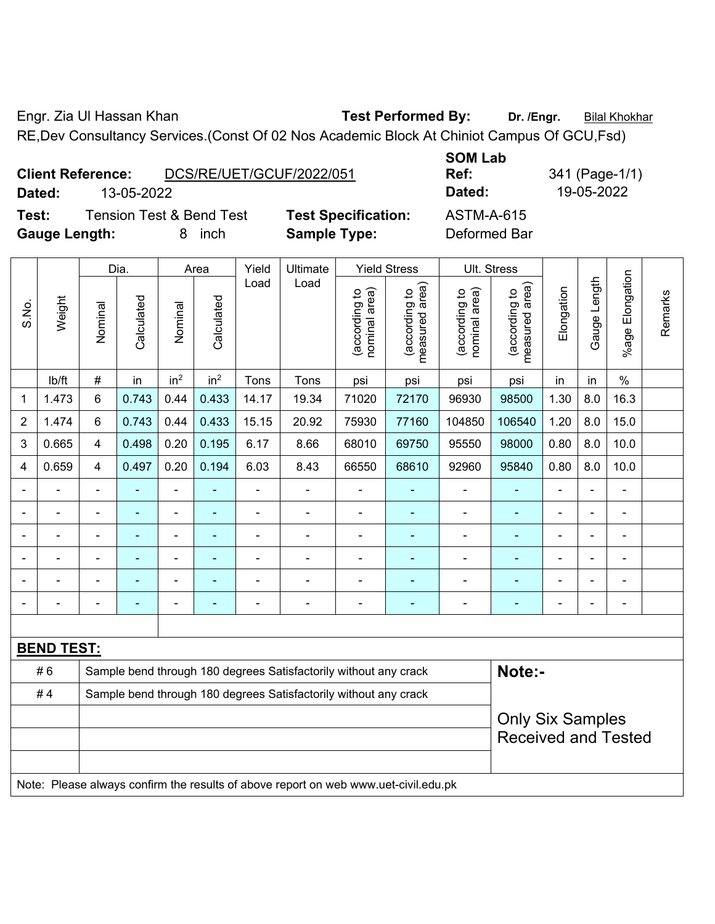Engr. Zia Ul Hassan Khan **Test Performed By:** Dr. /Engr. **Bilal Khokhar** 

RE,Dev Consultancy Services.(Const Of 02 Nos Academic Block At Chiniot Campus Of GCU,Fsd)

|                      | <b>Client Reference:</b> | DCS/RE/UET/GCUF/2022/051            |                            | <b>SUM LAD</b><br>Ref: |
|----------------------|--------------------------|-------------------------------------|----------------------------|------------------------|
| Dated:               | 13-05-2022               |                                     |                            | Dated:                 |
| Test:                |                          | <b>Tension Test &amp; Bend Test</b> | <b>Test Specification:</b> | <b>ASTM-A-615</b>      |
| <b>Gauge Length:</b> |                          | inch                                | <b>Sample Type:</b>        | Deformed Bar           |

**SOM Lab Ref:** 341 (Page-1/1) **Dated:** 13-05-2022 **Dated:** 19-05-2022 **Test:** Tension Test & Bend Test **Test Specification:** ASTM-A-615

|                |                   |                                                                  | Dia.          |                 | Area            | Yield          | Ultimate                                                                            |                                | <b>Yield Stress</b><br>Ult. Stress |                                                       |                                             |                |                |                       |         |
|----------------|-------------------|------------------------------------------------------------------|---------------|-----------------|-----------------|----------------|-------------------------------------------------------------------------------------|--------------------------------|------------------------------------|-------------------------------------------------------|---------------------------------------------|----------------|----------------|-----------------------|---------|
| S.No.          | Weight            | Nominal                                                          | Calculated    | Nominal         | Calculated      | Load           | Load                                                                                | (according to<br>nominal area) | (according to<br>measured area)    | (according to<br>nominal area)                        | (according to<br>neasured area)<br>measured | Elongation     | Gauge Length   | Elongation<br>$%$ age | Remarks |
|                | lb/ft             | #                                                                | in            | in <sup>2</sup> | in <sup>2</sup> | Tons           | Tons                                                                                | psi                            | psi                                | psi                                                   | psi                                         | in             | in             | $\%$                  |         |
| 1              | 1.473             | 6                                                                | 0.743         | 0.44            | 0.433           | 14.17          | 19.34                                                                               | 71020                          | 72170                              | 96930                                                 | 98500                                       | 1.30           | 8.0            | 16.3                  |         |
| $\overline{2}$ | 1.474             | $6\phantom{1}$                                                   | 0.743         | 0.44            | 0.433           | 15.15          | 20.92                                                                               | 75930                          | 77160                              | 104850                                                | 106540                                      | 1.20           | 8.0            | 15.0                  |         |
| 3              | 0.665             | $\overline{4}$                                                   | 0.498         | 0.20            | 0.195           | 6.17           | 8.66                                                                                | 68010                          | 69750                              | 95550                                                 | 98000                                       | 0.80           | 8.0            | 10.0                  |         |
| 4              | 0.659             | 4                                                                | 0.497         | 0.20            | 0.194           | 6.03           | 8.43                                                                                | 66550                          | 68610                              | 92960                                                 | 95840                                       | 0.80           | 8.0            | 10.0                  |         |
| $\blacksquare$ | $\blacksquare$    | $\blacksquare$                                                   | $\frac{1}{2}$ | $\blacksquare$  | ä,              | $\blacksquare$ | $\blacksquare$                                                                      | $\blacksquare$                 | ÷                                  | $\blacksquare$                                        | $\blacksquare$                              | $\blacksquare$ | $\blacksquare$ | $\blacksquare$        |         |
| $\blacksquare$ | ä,                | $\blacksquare$                                                   | ÷,            | ÷               | $\blacksquare$  | $\blacksquare$ | $\blacksquare$                                                                      | $\blacksquare$                 | $\blacksquare$                     | $\blacksquare$                                        |                                             | ä,             | ä,             | ÷                     |         |
| $\blacksquare$ | ä,                | $\blacksquare$                                                   | ÷,            | $\blacksquare$  | $\blacksquare$  | $\blacksquare$ | $\blacksquare$                                                                      | $\blacksquare$                 | $\blacksquare$                     | $\blacksquare$                                        | $\blacksquare$                              | $\blacksquare$ | ä,             | ä,                    |         |
|                |                   |                                                                  |               |                 |                 |                | $\overline{a}$                                                                      |                                |                                    |                                                       |                                             |                |                |                       |         |
| $\blacksquare$ |                   |                                                                  |               |                 |                 |                |                                                                                     | ٠                              |                                    | ٠                                                     |                                             | $\blacksquare$ |                |                       |         |
| $\blacksquare$ |                   | ٠                                                                | ۰             | ۰               |                 |                | ÷                                                                                   | $\blacksquare$                 | $\overline{\phantom{0}}$           | ÷                                                     | $\blacksquare$                              | $\overline{a}$ | $\blacksquare$ | ÷                     |         |
|                |                   |                                                                  |               |                 |                 |                |                                                                                     |                                |                                    |                                                       |                                             |                |                |                       |         |
|                | <b>BEND TEST:</b> |                                                                  |               |                 |                 |                |                                                                                     |                                |                                    |                                                       |                                             |                |                |                       |         |
|                | #6                |                                                                  |               |                 |                 |                | Sample bend through 180 degrees Satisfactorily without any crack                    |                                |                                    |                                                       | Note:-                                      |                |                |                       |         |
|                | #4                | Sample bend through 180 degrees Satisfactorily without any crack |               |                 |                 |                |                                                                                     |                                |                                    |                                                       |                                             |                |                |                       |         |
|                |                   |                                                                  |               |                 |                 |                |                                                                                     |                                |                                    | <b>Only Six Samples</b><br><b>Received and Tested</b> |                                             |                |                |                       |         |
|                |                   |                                                                  |               |                 |                 |                | Note: Please always confirm the results of above report on web www.uet-civil.edu.pk |                                |                                    |                                                       |                                             |                |                |                       |         |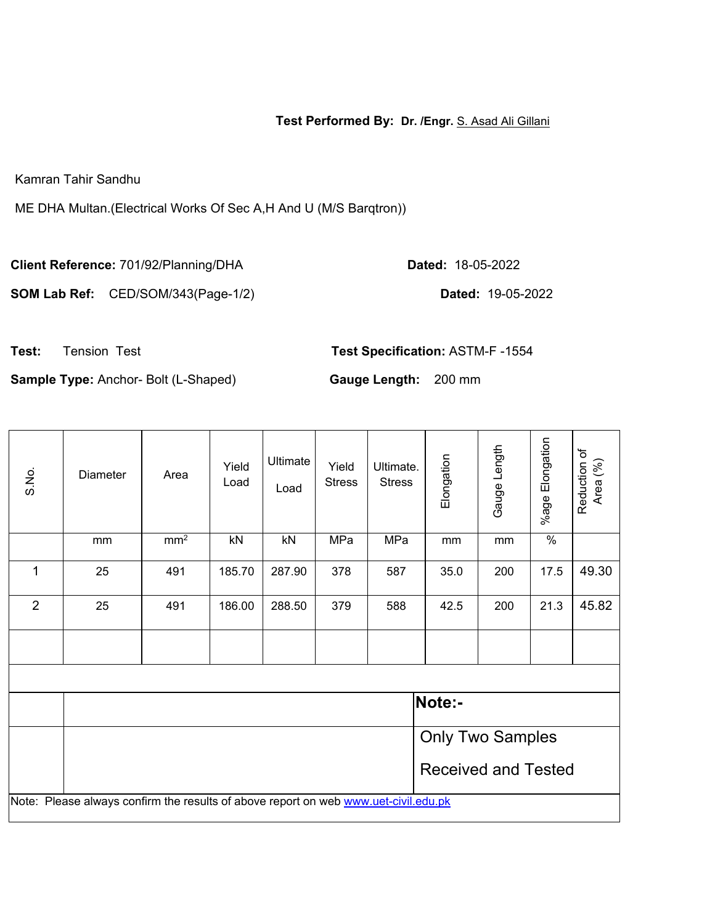**Test Performed By: Dr. /Engr.** S. Asad Ali Gillani

Kamran Tahir Sandhu

ME DHA Multan.(Electrical Works Of Sec A,H And U (M/S Barqtron))

**Client Reference:** 701/92/Planning/DHA **Dated:** 18-05-2022

**SOM Lab Ref:** CED/SOM/343(Page-1/2) **Dated:** 19-05-2022

**Test:** Tension Test **Test Specification:** ASTM-F -1554

**Sample Type:** Anchor- Bolt (L-Shaped) **Gauge Length:** 200 mm

| S.No.          | <b>Diameter</b>                                                                     | Area            | Yield<br>Load | Ultimate<br>Load | Yield<br><b>Stress</b> | Ultimate.<br><b>Stress</b> | Elongation                 | Gauge Length | %age Elongation | Reduction of<br>Area (%) |  |  |
|----------------|-------------------------------------------------------------------------------------|-----------------|---------------|------------------|------------------------|----------------------------|----------------------------|--------------|-----------------|--------------------------|--|--|
|                | mm                                                                                  | mm <sup>2</sup> | kN            | kN               | MPa                    | MPa                        | mm                         | mm           | $\frac{0}{0}$   |                          |  |  |
| 1              | 25                                                                                  | 491             | 185.70        | 287.90           | 378                    | 587                        | 35.0                       | 200          | 17.5            | 49.30                    |  |  |
| $\overline{2}$ | 25                                                                                  | 491             | 186.00        | 288.50           | 379                    | 588                        | 42.5                       | 200          | 21.3            | 45.82                    |  |  |
|                |                                                                                     |                 |               |                  |                        |                            |                            |              |                 |                          |  |  |
|                |                                                                                     |                 |               |                  |                        |                            |                            |              |                 |                          |  |  |
|                |                                                                                     |                 |               |                  |                        |                            | Note:-                     |              |                 |                          |  |  |
|                |                                                                                     |                 |               |                  |                        |                            | <b>Only Two Samples</b>    |              |                 |                          |  |  |
|                |                                                                                     |                 |               |                  |                        |                            | <b>Received and Tested</b> |              |                 |                          |  |  |
|                | Note: Please always confirm the results of above report on web www.uet-civil.edu.pk |                 |               |                  |                        |                            |                            |              |                 |                          |  |  |